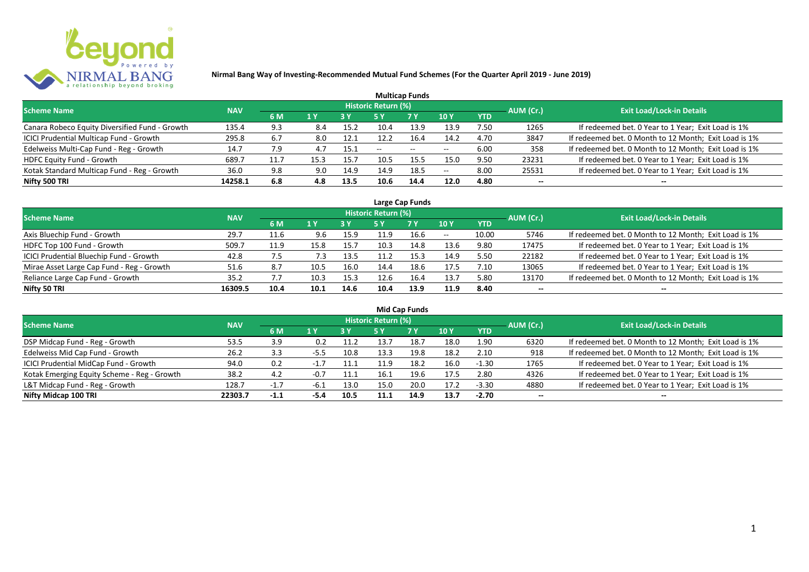

| <b>Multicap Funds</b>                          |            |      |      |            |                     |                          |                          |            |           |                                                       |  |  |  |  |
|------------------------------------------------|------------|------|------|------------|---------------------|--------------------------|--------------------------|------------|-----------|-------------------------------------------------------|--|--|--|--|
| <b>Scheme Name</b>                             | <b>NAV</b> |      |      |            | Historic Return (%) |                          |                          |            | AUM (Cr.) | <b>Exit Load/Lock-in Details</b>                      |  |  |  |  |
|                                                |            | 6 M  | 1 Y  | <b>3 Y</b> |                     | <b>7 Y</b>               | <b>10Y</b>               | <b>YTD</b> |           |                                                       |  |  |  |  |
| Canara Robeco Equity Diversified Fund - Growth | 135.4      | 9.3  | 8.4  | 15.2       | 10.4                | 13.9                     | 13.9                     | 7.50       | 1265      | If redeemed bet. 0 Year to 1 Year; Exit Load is 1%    |  |  |  |  |
| ICICI Prudential Multicap Fund - Growth        | 295.8      | 6.7  | 8.0  | 12.1       | 12.2                | 16.4                     | 14.2                     | 4.70       | 3847      | If redeemed bet. 0 Month to 12 Month; Exit Load is 1% |  |  |  |  |
| Edelweiss Multi-Cap Fund - Reg - Growth        | 14.7       | 7.9  |      | 15.1       | $- -$               | $\overline{\phantom{a}}$ | $\overline{\phantom{m}}$ | 6.00       | 358       | If redeemed bet. 0 Month to 12 Month; Exit Load is 1% |  |  |  |  |
| HDFC Equity Fund - Growth                      | 689.7      | 11.7 | 15.3 | 15.7       | 10.5                | 15.5                     | 15.0                     | 9.50       | 23231     | If redeemed bet. 0 Year to 1 Year; Exit Load is 1%    |  |  |  |  |
| Kotak Standard Multicap Fund - Reg - Growth    | 36.0       | 9.8  | 9.0  | 14.9       | 14.9                | 18.5                     | $-$                      | 8.00       | 25531     | If redeemed bet. 0 Year to 1 Year; Exit Load is 1%    |  |  |  |  |
| Nifty 500 TRI                                  | 14258.1    | 6.8  | 4.8  | 13.5       | 10.6                | 14.4                     | 12.0                     | 4.80       | $- -$     | --                                                    |  |  |  |  |

| Large Cap Funds                           |            |      |      |      |                            |           |       |            |           |                                                       |  |  |  |
|-------------------------------------------|------------|------|------|------|----------------------------|-----------|-------|------------|-----------|-------------------------------------------------------|--|--|--|
| <b>Scheme Name</b>                        | <b>NAV</b> |      |      |      | <b>Historic Return (%)</b> |           |       |            | AUM (Cr.) | <b>Exit Load/Lock-in Details</b>                      |  |  |  |
|                                           |            | 6 M  | 1 Y  | 3 Y  | 5 Y                        | <b>7Y</b> | 10Y   | <b>YTD</b> |           |                                                       |  |  |  |
| Axis Bluechip Fund - Growth               | 29.7       | 11.6 | 9.6  | 15.9 | 11.9                       | 16.6      | $- -$ | 10.00      | 5746      | If redeemed bet. 0 Month to 12 Month; Exit Load is 1% |  |  |  |
| HDFC Top 100 Fund - Growth                | 509.7      | 11.9 | 15.8 | 15.7 | 10.3                       | 14.8      | 13.6  | 9.80       | 17475     | If redeemed bet. 0 Year to 1 Year; Exit Load is 1%    |  |  |  |
| ICICI Prudential Bluechip Fund - Growth   | 42.8       | 7.5  | 7.3  | 13.5 | 11.2                       | 15.3      | 14.9  | 5.50       | 22182     | If redeemed bet. 0 Year to 1 Year; Exit Load is 1%    |  |  |  |
| Mirae Asset Large Cap Fund - Reg - Growth | 51.6       | 8.7  | 10.5 | 16.0 | 14.4                       | 18.6      | 17.5  | 7.10       | 13065     | If redeemed bet. 0 Year to 1 Year; Exit Load is 1%    |  |  |  |
| Reliance Large Cap Fund - Growth          | 35.2       | 7.7  | 10.3 | 15.3 | 12.6                       | 16.4      | 13.7  | 5.80       | 13170     | If redeemed bet. 0 Month to 12 Month; Exit Load is 1% |  |  |  |
| Nifty 50 TRI                              | 16309.5    | 10.4 | 10.1 | 14.6 | 10.4                       | 13.9      | 11.9  | 8.40       | $- -$     |                                                       |  |  |  |

| <b>Mid Cap Funds</b>                        |            |        |        |      |                            |      |      |            |                          |                                                       |  |  |  |
|---------------------------------------------|------------|--------|--------|------|----------------------------|------|------|------------|--------------------------|-------------------------------------------------------|--|--|--|
| <b>Scheme Name</b>                          | <b>NAV</b> |        |        |      | <b>Historic Return (%)</b> |      |      |            | AUM (Cr.)                | <b>Exit Load/Lock-in Details</b>                      |  |  |  |
|                                             |            | 6 M    | 71 Y   | 3 Y  | 5 Y                        | 7 Y  | 10 Y | <b>YTD</b> |                          |                                                       |  |  |  |
| DSP Midcap Fund - Reg - Growth              | 53.5       | 3.9    | 0.2    | 11.2 | 13.7                       | 18.7 | 18.0 | 1.90       | 6320                     | If redeemed bet. 0 Month to 12 Month; Exit Load is 1% |  |  |  |
| Edelweiss Mid Cap Fund - Growth             | 26.2       | 3.3    | $-5.5$ | 10.8 | 13.3                       | 19.8 | 18.2 | 2.10       | 918                      | If redeemed bet. 0 Month to 12 Month; Exit Load is 1% |  |  |  |
| ICICI Prudential MidCap Fund - Growth       | 94.0       | 0.2    | $-1.7$ | 11.1 |                            | 18.2 | 16.0 | $-1.30$    | 1765                     | If redeemed bet. 0 Year to 1 Year; Exit Load is 1%    |  |  |  |
| Kotak Emerging Equity Scheme - Reg - Growth | 38.2       | 4.2    | $-0.7$ | 11.1 | 16.1                       | 19.6 | 17.5 | 2.80       | 4326                     | If redeemed bet. 0 Year to 1 Year; Exit Load is 1%    |  |  |  |
| L&T Midcap Fund - Reg - Growth              | 128.7      | $-1.7$ | -6.⊥   | 13.0 | 15.0                       | 20.0 | 17.2 | $-3.30$    | 4880                     | If redeemed bet. 0 Year to 1 Year; Exit Load is 1%    |  |  |  |
| Nifty Midcap 100 TRI                        | 22303.7    | $-1.1$ | -5.4   | 10.5 | 11.1                       | 14.9 | 13.7 | $-2.70$    | $\overline{\phantom{a}}$ | --                                                    |  |  |  |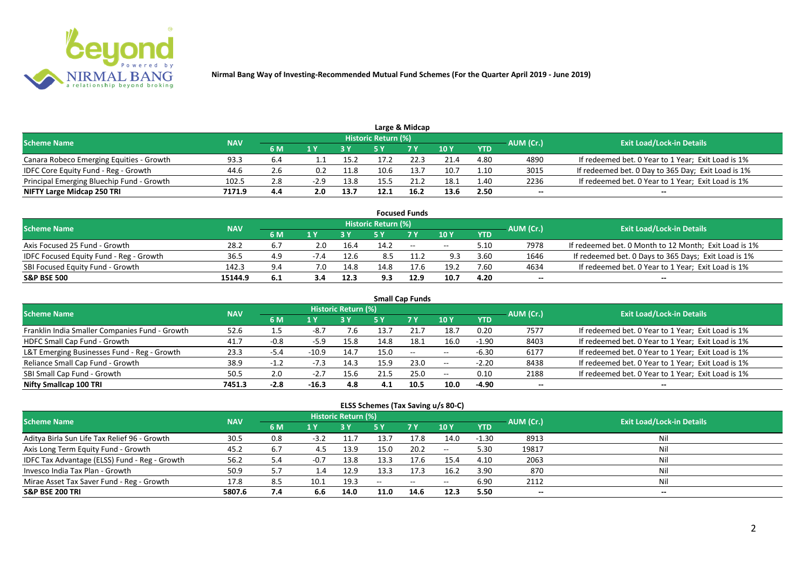

|                                           |            |     |        |      |                            | Large & Midcap |      |            |           |                                                    |
|-------------------------------------------|------------|-----|--------|------|----------------------------|----------------|------|------------|-----------|----------------------------------------------------|
| <b>Scheme Name</b>                        | <b>NAV</b> |     |        |      | <b>Historic Return (%)</b> |                |      |            | AUM (Cr.) | <b>Exit Load/Lock-in Details</b>                   |
|                                           |            | 6 M |        |      |                            | 7 V            | 10 Y | <b>YTD</b> |           |                                                    |
| Canara Robeco Emerging Equities - Growth  | 93.3       | 6.4 |        | 15.2 |                            | 22.3           | 21.4 | 4.80       | 4890      | If redeemed bet. 0 Year to 1 Year; Exit Load is 1% |
| IDFC Core Equity Fund - Reg - Growth      | 44.6       | 2.6 | 0.2    | 11.8 | 10.6                       | 13.7           | 10.7 | 1.10       | 3015      | If redeemed bet. 0 Day to 365 Day; Exit Load is 1% |
| Principal Emerging Bluechip Fund - Growth | 102.5      | 2.8 | $-2.9$ | 13.8 |                            |                | 18.1 | 4.40       | 2236      | If redeemed bet. 0 Year to 1 Year; Exit Load is 1% |
| NIFTY Large Midcap 250 TRI                | 7171.9     | 4.4 | 2.0    | 13.7 | 12.1                       | 16.2           | 13.6 | 2.50       | --        | $- -$                                              |

|                                                |            |     |        |      |                     | <b>Focused Funds</b> |       |            |           |                                                       |
|------------------------------------------------|------------|-----|--------|------|---------------------|----------------------|-------|------------|-----------|-------------------------------------------------------|
| <b>Scheme Name</b>                             | <b>NAV</b> |     |        |      | Historic Return (%) |                      |       |            | AUM (Cr.) | <b>Exit Load/Lock-in Details</b>                      |
|                                                |            | 6 M | 1 V    |      |                     | 7 Y                  | 10Y   | <b>YTD</b> |           |                                                       |
| Axis Focused 25 Fund - Growth                  | 28.2       | 6.7 | 2.0    | 16.4 | 14.2                | $\sim$               | $- -$ | 5.10       | 7978      | If redeemed bet. 0 Month to 12 Month; Exit Load is 1% |
| <b>IDFC Focused Equity Fund - Reg - Growth</b> | 36.5       | 4.9 | $-7.4$ | 12.6 | 8.5                 |                      | 9.3   | 3.60       | 1646      | If redeemed bet. 0 Days to 365 Days; Exit Load is 1%  |
| SBI Focused Equity Fund - Growth               | 142.3      | 9.4 | 7.0    | 14.8 | 14.8                | 17.6                 | 19.2  | 7.60       | 4634      | If redeemed bet. 0 Year to 1 Year; Exit Load is 1%    |
| <b>S&amp;P BSE 500</b>                         | 15144.9    | 6.1 | 3.4    | 12.3 | 9.3                 | 12.9                 | 10.7  | 4.20       | --        | --                                                    |

| <b>Small Cap Funds</b>                         |            |        |         |                     |      |           |            |            |           |                                                    |  |  |  |
|------------------------------------------------|------------|--------|---------|---------------------|------|-----------|------------|------------|-----------|----------------------------------------------------|--|--|--|
| <b>Scheme Name</b>                             | <b>NAV</b> |        |         | Historic Return (%) |      |           |            |            | AUM (Cr.) | <b>Exit Load/Lock-in Details</b>                   |  |  |  |
|                                                |            | 6 M    | 1 Y     |                     | 5 Y  | <b>7Y</b> | 10Y        | <b>YTD</b> |           |                                                    |  |  |  |
| Franklin India Smaller Companies Fund - Growth | 52.6       |        | -8.7    | 7.6                 | 13.7 |           | 18.7       | 0.20       | 7577      | If redeemed bet. 0 Year to 1 Year; Exit Load is 1% |  |  |  |
| HDFC Small Cap Fund - Growth                   | 41.7       | $-0.8$ | $-5.9$  | 15.8                | 14.8 | 18.1      | 16.0       | $-1.90$    | 8403      | If redeemed bet. 0 Year to 1 Year; Exit Load is 1% |  |  |  |
| L&T Emerging Businesses Fund - Reg - Growth    | 23.3       | $-5.4$ | $-10.9$ | 14.7                | 15.0 | $\sim$    | $\sim$ $-$ | $-6.30$    | 6177      | If redeemed bet. 0 Year to 1 Year; Exit Load is 1% |  |  |  |
| Reliance Small Cap Fund - Growth               | 38.9       | $-1.2$ | $-7.3$  | 14.3                | 15.9 | 23.0      | $\sim$ $-$ | $-2.20$    | 8438      | If redeemed bet. 0 Year to 1 Year; Exit Load is 1% |  |  |  |
| SBI Small Cap Fund - Growth                    | 50.5       | 2.0    | $-2.7$  | 15.6                |      | 25.0      | $- -$      | 0.10       | 2188      | If redeemed bet. 0 Year to 1 Year; Exit Load is 1% |  |  |  |
| Nifty Smallcap 100 TRI                         | 7451.3     | $-2.8$ | $-16.3$ | 4.8                 | 4.1  | 10.5      | 10.0       | -4.90      | $- -$     | --                                                 |  |  |  |

#### **ELSS Schemes (Tax Saving u/s 80-C)**

| Scheme Name                                   | <b>NAV</b> |     |        | Historic Return (%) |      |                                                |                          | AUM (Cr.)  | <b>Exit Load/Lock-in Details</b> |       |
|-----------------------------------------------|------------|-----|--------|---------------------|------|------------------------------------------------|--------------------------|------------|----------------------------------|-------|
|                                               |            | 6 M | 1 Y    |                     |      | <b>7Y</b>                                      | 10 <sub>Y</sub>          | <b>YTD</b> |                                  |       |
| Aditya Birla Sun Life Tax Relief 96 - Growth  | 30.5       | 0.8 | $-3.2$ | 11.7                | 13.7 | 17.8                                           | 14.0                     | $-1.30$    | 8913                             | Nil   |
| Axis Long Term Equity Fund - Growth           | 45.2       | 6.7 | 4.5    | 13.9                | 15.0 | 20.2                                           | $\overline{\phantom{a}}$ | 5.30       | 19817                            | Nil   |
| IDFC Tax Advantage (ELSS) Fund - Reg - Growth | 56.2       | 4.ر | $-0.7$ | 13.8                | 13.3 | 17.6                                           | 15.4                     | 4.10       | 2063                             | Nil   |
| Invesco India Tax Plan - Growth               | 50.9       | 5.7 | 1.4    | 12.9                | 13.3 | 17.3                                           | 16.2                     | 3.90       | 870                              | Nil   |
| Mirae Asset Tax Saver Fund - Reg - Growth     | 17.8       | 8.5 | 10.1   | 19.3                | $-$  | $\hspace{0.1mm}-\hspace{0.1mm}-\hspace{0.1mm}$ | $- -$                    | 6.90       | 2112                             | Nil   |
| <b>S&amp;P BSE 200 TRI</b>                    | 5807.6     | 7.4 | 6.6    | 14.0                | 11.0 | 14.6                                           | 12.3                     | 5.50       | $-$                              | $- -$ |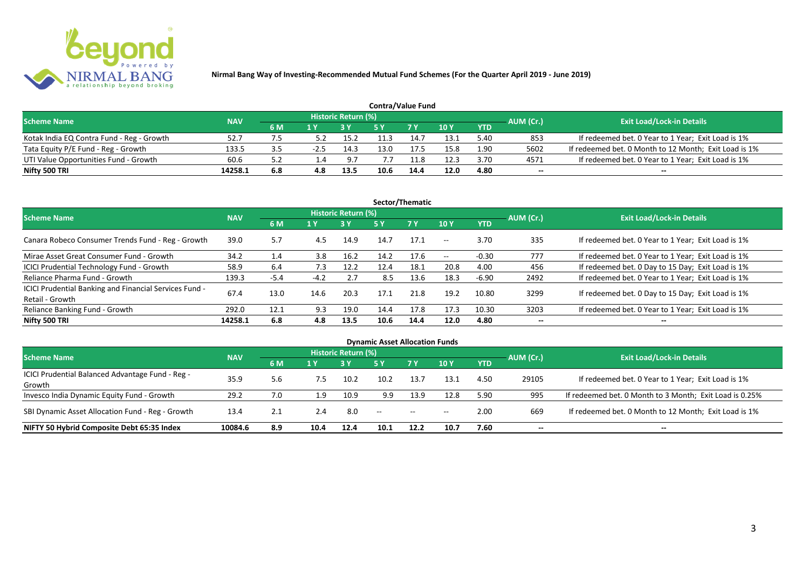

| <b>Contra/Value Fund</b>                  |            |     |     |                     |      |            |                 |            |           |                                                       |  |  |  |
|-------------------------------------------|------------|-----|-----|---------------------|------|------------|-----------------|------------|-----------|-------------------------------------------------------|--|--|--|
| <b>Scheme Name</b>                        | <b>NAV</b> |     |     | Historic Return (%) |      |            |                 |            | AUM (Cr.) | <b>Exit Load/Lock-in Details</b>                      |  |  |  |
|                                           |            | 6 M | 1 V |                     |      | <b>7 V</b> | 10 <sub>Y</sub> | <b>YTD</b> |           |                                                       |  |  |  |
| Kotak India EQ Contra Fund - Reg - Growth | 52.7       |     |     | 15.2                |      | 14.7       | 13.1            | 5.40       | 853       | If redeemed bet. 0 Year to 1 Year; Exit Load is 1%    |  |  |  |
| Tata Equity P/E Fund - Reg - Growth       | 133.5      |     |     | 14.3                | 13.0 | 17.5       | 15.8            | 1.90       | 5602      | If redeemed bet. 0 Month to 12 Month; Exit Load is 1% |  |  |  |
| UTI Value Opportunities Fund - Growth     | 60.6       |     |     | 9.7                 |      | 11.8       | 12.3            | 3.70       | 4571      | If redeemed bet. 0 Year to 1 Year; Exit Load is 1%    |  |  |  |
| Nifty 500 TRI                             | 14258.1    | 6.8 | 4.8 | 13.5                | 10.6 | 14.4       | 12.0            | 4.80       | --        | $- -$                                                 |  |  |  |

| Sector/Thematic                                                           |            |        |        |                            |      |           |                          |            |           |                                                    |  |  |  |
|---------------------------------------------------------------------------|------------|--------|--------|----------------------------|------|-----------|--------------------------|------------|-----------|----------------------------------------------------|--|--|--|
| <b>Scheme Name</b>                                                        | <b>NAV</b> |        |        | <b>Historic Return (%)</b> |      |           |                          |            | AUM (Cr.) | <b>Exit Load/Lock-in Details</b>                   |  |  |  |
|                                                                           |            | 6 M    | 1 Y    | <b>3 Y</b>                 | 5 Y  | <b>7Y</b> | <b>10Y</b>               | <b>YTD</b> |           |                                                    |  |  |  |
| Canara Robeco Consumer Trends Fund - Reg - Growth                         | 39.0       | 5.7    | 4.5    | 14.9                       | 14.7 | 17.1      | $\sim$ $\sim$            | 3.70       | 335       | If redeemed bet. 0 Year to 1 Year; Exit Load is 1% |  |  |  |
| Mirae Asset Great Consumer Fund - Growth                                  | 34.2       | 1.4    | 3.8    | 16.2                       | 14.2 | 17.6      | $\overline{\phantom{a}}$ | $-0.30$    | 777       | If redeemed bet. 0 Year to 1 Year; Exit Load is 1% |  |  |  |
| <b>ICICI Prudential Technology Fund - Growth</b>                          | 58.9       | 6.4    | 7.3    | 12.2                       | 12.4 | 18.1      | 20.8                     | 4.00       | 456       | If redeemed bet. 0 Day to 15 Day; Exit Load is 1%  |  |  |  |
| Reliance Pharma Fund - Growth                                             | 139.3      | $-5.4$ | $-4.2$ | 2.7                        | 8.5  | 13.6      | 18.3                     | $-6.90$    | 2492      | If redeemed bet. 0 Year to 1 Year; Exit Load is 1% |  |  |  |
| ICICI Prudential Banking and Financial Services Fund -<br>Retail - Growth | 67.4       | 13.0   | 14.6   | 20.3                       | 17.1 | 21.8      | 19.2                     | 10.80      | 3299      | If redeemed bet. 0 Day to 15 Day; Exit Load is 1%  |  |  |  |
| Reliance Banking Fund - Growth                                            | 292.0      | 12.1   | 9.3    | 19.0                       | 14.4 | 17.8      | 17.3                     | 10.30      | 3203      | If redeemed bet. 0 Year to 1 Year; Exit Load is 1% |  |  |  |
| Nifty 500 TRI                                                             | 14258.1    | 6.8    | 4.8    | 13.5                       | 10.6 | 14.4      | 12.0                     | 4.80       | $- -$     | $\overline{\phantom{a}}$                           |  |  |  |

| <b>Dynamic Asset Allocation Funds</b>            |            |     |      |                            |                          |           |            |            |           |                                                         |  |  |  |
|--------------------------------------------------|------------|-----|------|----------------------------|--------------------------|-----------|------------|------------|-----------|---------------------------------------------------------|--|--|--|
| <b>Scheme Name</b>                               | <b>NAV</b> |     |      | <b>Historic Return (%)</b> |                          |           |            |            |           | <b>Exit Load/Lock-in Details</b>                        |  |  |  |
|                                                  |            | 6 M | 1 Y  |                            | <b>5 Y</b>               | <b>7Y</b> | <b>10Y</b> | <b>YTD</b> | AUM (Cr.) |                                                         |  |  |  |
| ICICI Prudential Balanced Advantage Fund - Reg - | 35.9       |     | 7.5  | 10.2                       | 10.2                     | 13.7      | 13.1       | 4.50       | 29105     | If redeemed bet. 0 Year to 1 Year; Exit Load is 1%      |  |  |  |
| Growth                                           |            | 5.6 |      |                            |                          |           |            |            |           |                                                         |  |  |  |
| Invesco India Dynamic Equity Fund - Growth       | 29.2       | 7.0 | 1.9  | 10.9                       | 9.9                      | 13.9      | 12.8       | 5.90       | 995       | If redeemed bet. 0 Month to 3 Month; Exit Load is 0.25% |  |  |  |
| SBI Dynamic Asset Allocation Fund - Reg - Growth | 13.4       | 2.1 | 2.4  | 8.0                        | $\overline{\phantom{a}}$ | $\sim$    | $- -$      | 2.00       | 669       | If redeemed bet. 0 Month to 12 Month; Exit Load is 1%   |  |  |  |
| NIFTY 50 Hybrid Composite Debt 65:35 Index       | 10084.6    | 8.9 | 10.4 | 12.4                       | 10.1                     | 12.2      | 10.7       | 7.60       | --        | --                                                      |  |  |  |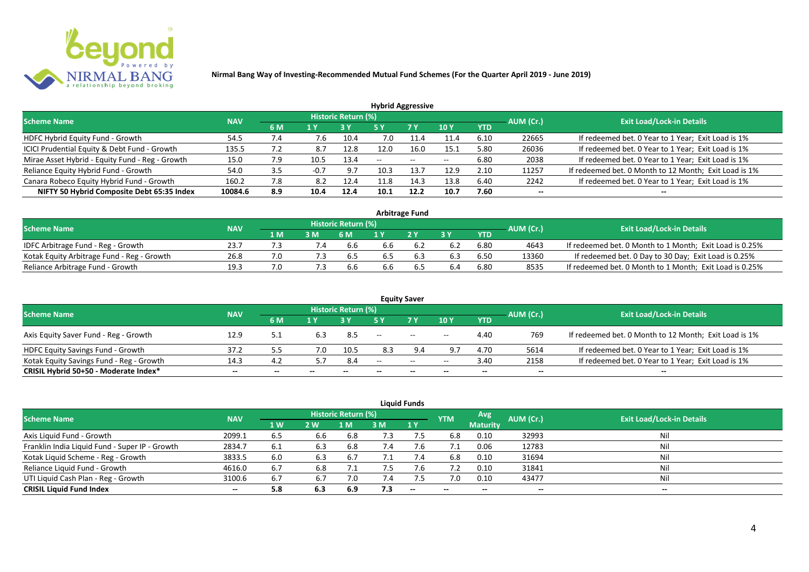

| <b>Hybrid Aggressive</b>                        |            |     |        |                            |      |       |                 |            |           |                                                       |  |  |  |
|-------------------------------------------------|------------|-----|--------|----------------------------|------|-------|-----------------|------------|-----------|-------------------------------------------------------|--|--|--|
| <b>Scheme Name</b>                              | <b>NAV</b> |     |        | <b>Historic Return (%)</b> |      |       |                 |            | AUM (Cr.) | <b>Exit Load/Lock-in Details</b>                      |  |  |  |
|                                                 |            | 6 M | 1 Y    |                            | 5 Y  | 7Y    | 10 <sub>Y</sub> | <b>YTD</b> |           |                                                       |  |  |  |
| HDFC Hybrid Equity Fund - Growth                | 54.5       | 7.4 | 7.6    | 10.4                       | 7.0  |       | 11.4            | 6.10       | 22665     | If redeemed bet. 0 Year to 1 Year; Exit Load is 1%    |  |  |  |
| ICICI Prudential Equity & Debt Fund - Growth    | 135.5      |     | 8.7    | 12.8                       | 12.0 | 16.0  | 15.1            | 5.80       | 26036     | If redeemed bet. 0 Year to 1 Year; Exit Load is 1%    |  |  |  |
| Mirae Asset Hybrid - Equity Fund - Reg - Growth | 15.0       | 7.9 | 10.5   | 13.4                       | $-$  | $- -$ | $-$             | 6.80       | 2038      | If redeemed bet. 0 Year to 1 Year; Exit Load is 1%    |  |  |  |
| Reliance Equity Hybrid Fund - Growth            | 54.0       | 3.5 | $-0.7$ | 9.7                        | 10.3 | 13.7  | 12.9            | 2.10       | 11257     | If redeemed bet. 0 Month to 12 Month; Exit Load is 1% |  |  |  |
| Canara Robeco Equity Hybrid Fund - Growth       | 160.2      | 7.8 | 8.2    | 12.4                       |      | 14.3  | 13.8            | 6.40       | 2242      | If redeemed bet. 0 Year to 1 Year; Exit Load is 1%    |  |  |  |
| NIFTY 50 Hybrid Composite Debt 65:35 Index      | 10084.6    | 8.9 | 10.4   | 12.4                       | 10.1 | 12.2  | 10.7            | 7.60       | $- -$     | $- -$                                                 |  |  |  |

| <b>Arbitrage Fund</b>                      |            |     |     |                     |     |                |     |            |           |                                                         |  |  |  |
|--------------------------------------------|------------|-----|-----|---------------------|-----|----------------|-----|------------|-----------|---------------------------------------------------------|--|--|--|
| <b>Scheme Name</b>                         | <b>NAV</b> |     |     | Historic Return (%) |     |                |     |            | AUM (Cr.) | <b>Exit Load/Lock-in Details</b>                        |  |  |  |
|                                            |            | 4 M | 3M  | 6 M                 |     | 2 <sup>Y</sup> |     | <b>YTD</b> |           |                                                         |  |  |  |
| IDFC Arbitrage Fund - Reg - Growth         | 23.7       |     |     | 6.6                 | 6.6 |                |     | 6.80       | 4643      | If redeemed bet. 0 Month to 1 Month; Exit Load is 0.25% |  |  |  |
| Kotak Equity Arbitrage Fund - Reg - Growth | 26.8       |     | 7.3 | 6.5                 | 6.5 | 6.3            | 6.3 | 6.50       | 13360     | If redeemed bet. 0 Day to 30 Day; Exit Load is 0.25%    |  |  |  |
| Reliance Arbitrage Fund - Growth           | 19.3       |     |     | 6.6                 | 6.6 | b.5            | 6.4 | 6.80       | 8535      | If redeemed bet. 0 Month to 1 Month; Exit Load is 0.25% |  |  |  |

|                                          |            |     |            |                     |                          | <b>Equity Saver</b>      |       |            |           |                                                       |
|------------------------------------------|------------|-----|------------|---------------------|--------------------------|--------------------------|-------|------------|-----------|-------------------------------------------------------|
| <b>Scheme Name</b>                       | <b>NAV</b> |     |            | Historic Return (%) |                          |                          |       |            | AUM (Cr.) | <b>Exit Load/Lock-in Details</b>                      |
|                                          |            | 6 M | 1 V        |                     |                          | <b>7Y</b>                | 10Y   | <b>YTD</b> |           |                                                       |
| Axis Equity Saver Fund - Reg - Growth    | 12.9       | 5.1 | <b>b.3</b> | 8.5                 | $\overline{\phantom{a}}$ | $\sim$                   | $- -$ | 4.40       | 769       | If redeemed bet. 0 Month to 12 Month; Exit Load is 1% |
| HDFC Equity Savings Fund - Growth        | 37.2       |     | 7.0        | 10.5                | 8.3                      |                          | 9.7   | 4.70       | 5614      | If redeemed bet. 0 Year to 1 Year; Exit Load is 1%    |
| Kotak Equity Savings Fund - Reg - Growth | 14.3       | 4.2 |            | 8.4                 | $- -$                    | $\overline{\phantom{a}}$ | $- -$ | 3.40       | 2158      | If redeemed bet. 0 Year to 1 Year; Exit Load is 1%    |
| CRISIL Hybrid 50+50 - Moderate Index*    | $- -$      | --  | $-$        | $- -$               | --                       | --                       | $- -$ | $- -$      | $- -$     | $- -$                                                 |

| <b>Liquid Funds</b>                            |            |     |     |                            |     |                          |            |                 |                          |                                  |  |  |  |  |
|------------------------------------------------|------------|-----|-----|----------------------------|-----|--------------------------|------------|-----------------|--------------------------|----------------------------------|--|--|--|--|
| <b>Scheme Name</b>                             | <b>NAV</b> |     |     | <b>Historic Return (%)</b> |     |                          | <b>YTM</b> | Avg.            | AUM (Cr.)                | <b>Exit Load/Lock-in Details</b> |  |  |  |  |
|                                                |            | 1 W | 2 W | 1 M                        | 3 M | 1Y                       |            | <b>Maturity</b> |                          |                                  |  |  |  |  |
| Axis Liquid Fund - Growth                      | 2099.1     | 6.5 | 6.6 | 6.8                        | 7.3 |                          | 6.8        | 0.10            | 32993                    | Nil                              |  |  |  |  |
| Franklin India Liquid Fund - Super IP - Growth | 2834.7     | 6.1 | 6.3 | 6.8                        | 7.4 | 7.6                      |            | 0.06            | 12783                    | Nil                              |  |  |  |  |
| Kotak Liquid Scheme - Reg - Growth             | 3833.5     | 6.0 | 6.3 | 6.7                        | 7.1 | 7.4                      | 6.8        | 0.10            | 31694                    | Nil                              |  |  |  |  |
| Reliance Liquid Fund - Growth                  | 4616.0     | 6.7 | 6.8 |                            | 7.5 | 7.6                      | 7.2        | 0.10            | 31841                    | Nil                              |  |  |  |  |
| UTI Liquid Cash Plan - Reg - Growth            | 3100.6     | 6.7 | 6.7 | 7.0                        |     |                          | 7.0        | 0.10            | 43477                    | Nil                              |  |  |  |  |
| <b>CRISIL Liquid Fund Index</b>                | $- -$      | 5.8 | 6.3 | 6.9                        | 7.3 | $\overline{\phantom{a}}$ | $- -$      | --              | $\overline{\phantom{a}}$ | $- -$                            |  |  |  |  |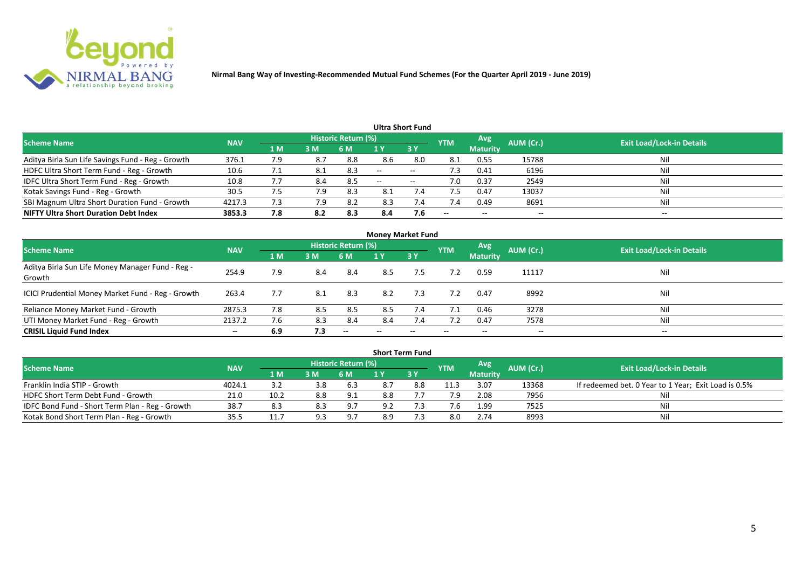

|                                                   |            |     |     |                            |     | Ultra Short Fund  |                          |                 |           |                                  |
|---------------------------------------------------|------------|-----|-----|----------------------------|-----|-------------------|--------------------------|-----------------|-----------|----------------------------------|
| <b>Scheme Name</b>                                | <b>NAV</b> |     |     | <b>Historic Return (%)</b> |     |                   | <b>YTM</b>               | Avg             | AUM (Cr.) | <b>Exit Load/Lock-in Details</b> |
|                                                   |            | 1 M | 3M  | 6 M                        |     | 3Y                |                          | <b>Maturity</b> |           |                                  |
| Aditya Birla Sun Life Savings Fund - Reg - Growth | 376.1      | 7.9 | 8.7 | 8.8                        | 8.6 | 8.0               | 8.1                      | 0.55            | 15788     | Nil                              |
| HDFC Ultra Short Term Fund - Reg - Growth         | 10.6       |     |     | 8.3                        | $-$ | $- -$             | د. ا                     | 0.41            | 6196      | Nil                              |
| IDFC Ultra Short Term Fund - Reg - Growth         | 10.8       | 7.7 | 8.4 | 8.5                        | $-$ | $\hspace{0.05cm}$ | 7.0                      | 0.37            | 2549      | Nil                              |
| Kotak Savings Fund - Reg - Growth                 | 30.5       | 7.5 | 7.9 | 8.3                        | 8.1 | 7.4               |                          | 0.47            | 13037     | Nil                              |
| SBI Magnum Ultra Short Duration Fund - Growth     | 4217.3     | 7.3 | 7.9 | 8.2                        | 8.3 | 7.4               | 7.4                      | 0.49            | 8691      | Nil                              |
| <b>NIFTY Ultra Short Duration Debt Index</b>      | 3853.3     | 7.8 | 8.2 | 8.3                        | 8.4 | 7.6               | $\overline{\phantom{a}}$ | $- -$           | --        | $- -$                            |

|                                                            |            |                |     |                     | <b>Money Market Fund</b> |           |                          |                 |           |                                  |
|------------------------------------------------------------|------------|----------------|-----|---------------------|--------------------------|-----------|--------------------------|-----------------|-----------|----------------------------------|
| <b>Scheme Name</b>                                         | <b>NAV</b> |                |     | Historic Return (%) |                          |           | <b>YTM</b>               | Avg             | AUM (Cr.) | <b>Exit Load/Lock-in Details</b> |
|                                                            |            | 1 <sub>M</sub> | 3 M | 6 M                 | 1 Y                      | <b>3Y</b> |                          | <b>Maturity</b> |           |                                  |
| Aditya Birla Sun Life Money Manager Fund - Reg -<br>Growth | 254.9      | 7.9            | 8.4 | -8.4                | 8.5                      | 7.5       | 7.2                      | 0.59            | 11117     | Nil                              |
| ICICI Prudential Money Market Fund - Reg - Growth          | 263.4      | 7.7            | 8.1 | 8.3                 | 8.2                      | 7.3       | 7.2                      | 0.47            | 8992      | Nil                              |
| Reliance Money Market Fund - Growth                        | 2875.3     | 7.8            | 8.5 | 8.5                 | 8.5                      | 7.4       | 7.1                      | 0.46            | 3278      | Nil                              |
| UTI Money Market Fund - Reg - Growth                       | 2137.2     | 7.6            | 8.3 | 8.4                 | 8.4                      | 7.4       |                          | 0.47            | 7578      | Nil                              |
| <b>CRISIL Liquid Fund Index</b>                            | $- -$      | 6.9            | 7.3 | $-$                 | --                       | $- -$     | $\overline{\phantom{a}}$ | $- -$           | $- -$     | $- -$                            |

|                                                 |            |      |     |                            |     | <b>Short Term Fund</b> |            |                 |           |                                                      |
|-------------------------------------------------|------------|------|-----|----------------------------|-----|------------------------|------------|-----------------|-----------|------------------------------------------------------|
| <b>Scheme Name</b>                              | <b>NAV</b> |      |     | <b>Historic Return (%)</b> |     |                        | <b>YTM</b> | <b>Avg</b>      | AUM (Cr.) | <b>Exit Load/Lock-in Details</b>                     |
|                                                 |            | 1 M  | 3M  | 6 M                        |     | 73 Y                   |            | <b>Maturity</b> |           |                                                      |
| Franklin India STIP - Growth                    | 4024.1     |      | 3.8 | 6.3                        |     | 8.8                    | 11.3       | 3.07            | 13368     | If redeemed bet. 0 Year to 1 Year; Exit Load is 0.5% |
| HDFC Short Term Debt Fund - Growth              | 21.0       | 10.2 | 8.8 | 9.1                        | 8.8 |                        | 7.9        | 2.08            | 7956      |                                                      |
| IDFC Bond Fund - Short Term Plan - Reg - Growth | 38.7       | 8.3  | 8.3 | 9.7                        | 9.2 |                        |            | 1.99            | 7525      | Nil                                                  |
| Kotak Bond Short Term Plan - Reg - Growth       | 35.5       | 11.7 | 9.3 | 9.7                        | 8.9 |                        | 8.0        | 2.74            | 8993      | Nil                                                  |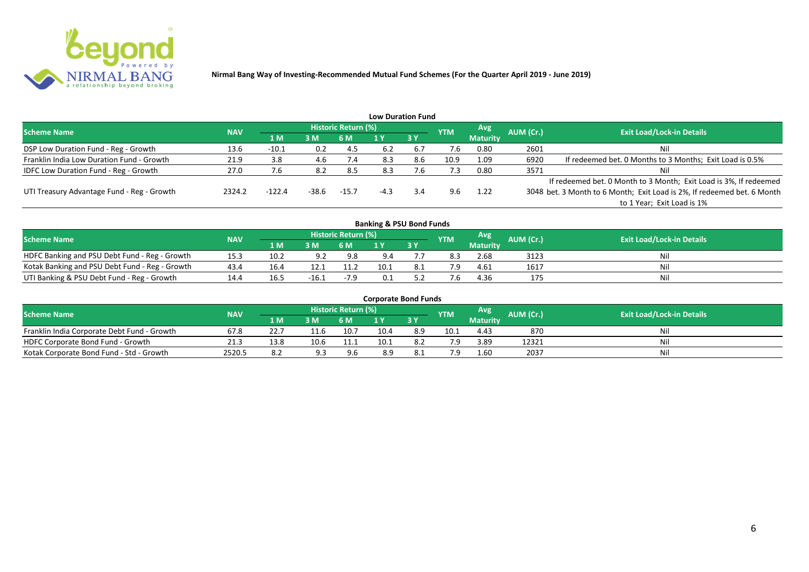

|                                              |            |          |       |                     |        | <b>Low Duration Fund</b> |            |                 |           |                                                                         |
|----------------------------------------------|------------|----------|-------|---------------------|--------|--------------------------|------------|-----------------|-----------|-------------------------------------------------------------------------|
| <b>Scheme Name</b>                           | <b>NAV</b> |          |       | Historic Return (%) |        |                          | <b>YTM</b> | Avg             | AUM (Cr.) | <b>Exit Load/Lock-in Details</b>                                        |
|                                              |            | /1 M     | 3M    | 6 M                 |        | 3Y                       |            | <b>Maturity</b> |           |                                                                         |
| DSP Low Duration Fund - Reg - Growth         | 13.6       | $-10.1$  | 0.2   | -4.5                | 6.2    | 6.7                      | 7.6        | 0.80            | 2601      | Nil                                                                     |
| Franklin India Low Duration Fund - Growth    | 21.9       | 3.8      | 4.6   | 7.4                 | 8.3    | 8.6                      | 10.9       | 1.09            | 6920      | If redeemed bet. 0 Months to 3 Months; Exit Load is 0.5%                |
| <b>IDFC Low Duration Fund - Reg - Growth</b> | 27.0       |          | 8.2   | 8.5                 | 8.3    | .b                       | 7.3        | 0.80            | 3571      | Nil                                                                     |
|                                              |            |          |       |                     |        |                          |            |                 |           | If redeemed bet. 0 Month to 3 Month; Exit Load is 3%, If redeemed       |
| UTI Treasury Advantage Fund - Reg - Growth   | 2324.2     | $-122.4$ | -38.6 | $-15.7$             | $-4.3$ | 3.4                      | 9.6        | 1.22            |           | 3048 bet. 3 Month to 6 Month; Exit Load is 2%, If redeemed bet. 6 Month |
|                                              |            |          |       |                     |        |                          |            |                 |           | to 1 Year; Exit Load is 1%                                              |
|                                              |            |          |       |                     |        |                          |            |                 |           |                                                                         |

| <b>Banking &amp; PSU Bond Funds</b>            |            |      |         |                     |      |    |            |          |           |                                  |  |  |  |  |
|------------------------------------------------|------------|------|---------|---------------------|------|----|------------|----------|-----------|----------------------------------|--|--|--|--|
| <b>Scheme Name</b>                             | <b>NAV</b> |      |         | Historic Return (%) |      |    | <b>YTM</b> | Avg.     | AUM (Cr.) | <b>Exit Load/Lock-in Details</b> |  |  |  |  |
|                                                |            | 1 M  | 3M      | 6 M                 |      | 3Y |            | Maturity |           |                                  |  |  |  |  |
| HDFC Banking and PSU Debt Fund - Reg - Growth  | 15.3       | 10.2 | ດ າ     | 9.8                 | 9.4  |    | 8.3        | 2.68     | 3123      | Nil                              |  |  |  |  |
| Kotak Banking and PSU Debt Fund - Reg - Growth | 43.4       | 16.4 | 12.1    | 11.2                | 10.1 |    |            | 4.61     | 1617      | Nil                              |  |  |  |  |
| UTI Banking & PSU Debt Fund - Reg - Growth     | 14.4       | 16.5 | $-16.1$ | $-7.9$              |      |    |            | 4.36     | 175       | Nil                              |  |  |  |  |

| <b>Corporate Bond Funds</b>                 |            |      |      |                            |      |     |            |                 |           |                                  |  |  |  |
|---------------------------------------------|------------|------|------|----------------------------|------|-----|------------|-----------------|-----------|----------------------------------|--|--|--|
| <b>Scheme Name</b>                          | <b>NAV</b> |      |      | <b>Historic Return (%)</b> |      |     | <b>YTM</b> | Avg             | AUM (Cr.) | <b>Exit Load/Lock-in Details</b> |  |  |  |
|                                             |            | 1 M. | 3 M  | 6 M                        |      | 3 Y |            | <b>Maturity</b> |           |                                  |  |  |  |
| Franklin India Corporate Debt Fund - Growth | 67.8       |      | 11.6 | 10.7                       | 10.4 | 8.9 | 10.1       | 4.43            | 870       | Nil                              |  |  |  |
| HDFC Corporate Bond Fund - Growth           | 21.3       | 13.8 | 10.6 | 11.1                       | 10.1 |     |            | 3.89            | 12321     | Nil                              |  |  |  |
| Kotak Corporate Bond Fund - Std - Growth    | 2520.5     | 8.2  | ۹R   | 9.6                        | 8.9  |     |            | 1.60            | 2037      | Nil                              |  |  |  |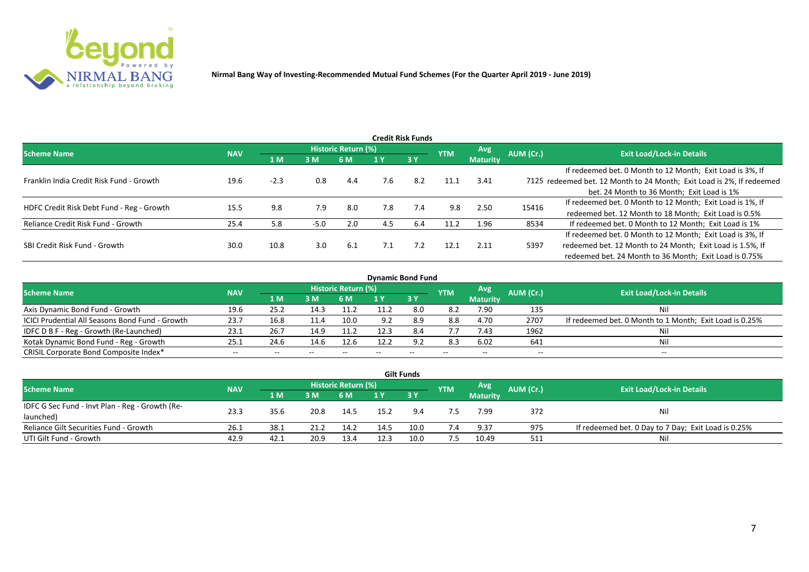

|                                           |            |        |        |                     |     | <b>Credit Risk Funds</b> |            |                 |           |                                                                       |
|-------------------------------------------|------------|--------|--------|---------------------|-----|--------------------------|------------|-----------------|-----------|-----------------------------------------------------------------------|
| <b>Scheme Name</b>                        | <b>NAV</b> |        |        | Historic Return (%) |     |                          | <b>YTM</b> | Avg.            | AUM (Cr.) | <b>Exit Load/Lock-in Details</b>                                      |
|                                           |            | 1 M    | 3M     | 6 M                 |     | 3 Y                      |            | <b>Maturity</b> |           |                                                                       |
|                                           |            |        |        |                     |     |                          |            |                 |           | If redeemed bet. 0 Month to 12 Month; Exit Load is 3%, If             |
| Franklin India Credit Risk Fund - Growth  | 19.6       | $-2.3$ | 0.8    | 4.4                 | 7.6 | 8.2                      | 11.1       | 3.41            |           | 7125 redeemed bet. 12 Month to 24 Month; Exit Load is 2%, If redeemed |
|                                           |            |        |        |                     |     |                          |            |                 |           | bet. 24 Month to 36 Month; Exit Load is 1%                            |
| HDFC Credit Risk Debt Fund - Reg - Growth | 15.5       | 9.8    | 7.9    | 8.0                 | 7.8 | 7.4                      | 9.8        | 2.50            | 15416     | If redeemed bet. 0 Month to 12 Month; Exit Load is 1%, If             |
|                                           |            |        |        |                     |     |                          |            |                 |           | redeemed bet. 12 Month to 18 Month; Exit Load is 0.5%                 |
| Reliance Credit Risk Fund - Growth        | 25.4       | 5.8    | $-5.0$ | 2.0                 | 4.5 | 6.4                      | 11.2       | 1.96            | 8534      | If redeemed bet. 0 Month to 12 Month; Exit Load is 1%                 |
|                                           |            |        |        |                     |     |                          |            |                 |           | If redeemed bet. 0 Month to 12 Month; Exit Load is 3%, If             |
| SBI Credit Risk Fund - Growth             | 30.0       | 10.8   | 3.0    | 6.1                 | 7.1 | 7.2                      | 12.1       | 2.11            | 5397      | redeemed bet. 12 Month to 24 Month; Exit Load is 1.5%, If             |
|                                           |            |        |        |                     |     |                          |            |                 |           | redeemed bet. 24 Month to 36 Month; Exit Load is 0.75%                |

| <b>Dynamic Bond Fund</b>                        |            |       |       |                          |      |           |            |                          |           |                                                         |  |  |  |  |
|-------------------------------------------------|------------|-------|-------|--------------------------|------|-----------|------------|--------------------------|-----------|---------------------------------------------------------|--|--|--|--|
| <b>Scheme Name</b>                              | <b>NAV</b> |       |       | Historic Return (%)      |      |           | <b>YTM</b> | Avg                      | AUM (Cr.) | <b>Exit Load/Lock-in Details</b>                        |  |  |  |  |
|                                                 |            | 1 M   | 3 M   | 6 M                      |      | <b>3Y</b> |            | <b>Maturity</b>          |           |                                                         |  |  |  |  |
| Axis Dynamic Bond Fund - Growth                 | 19.6       | 25.2  | 14.3  | 11.2                     |      | 8.0       | 8.2        | 7.90                     | 135       | Νi                                                      |  |  |  |  |
| ICICI Prudential All Seasons Bond Fund - Growth | 23.7       | 16.8  | 11.4  | 10.0                     | 9.2  | 8.9       | 8.8        | 4.70                     | 2707      | If redeemed bet. 0 Month to 1 Month; Exit Load is 0.25% |  |  |  |  |
| IDFC D B F - Reg - Growth (Re-Launched)         | 23.1       | 26.7  | 14.9  | 11.2                     | 12.3 | 8.4       | 7.7        | 7.43                     | 1962      |                                                         |  |  |  |  |
| Kotak Dynamic Bond Fund - Reg - Growth          | 25.3       | 24.6  | 14.6  | 12.6                     | 12.2 | 9.2       | 8.3        | 6.02                     | 641       | Νi                                                      |  |  |  |  |
| CRISIL Corporate Bond Composite Index*          | $- -$      | $- -$ | $- -$ | $\overline{\phantom{m}}$ |      | $- -$     |            | $\overline{\phantom{a}}$ | $- -$     | $-$                                                     |  |  |  |  |

|                                                 |            |       |      |                     |      | <b>Gilt Funds</b> |            |                 |           |                                                     |
|-------------------------------------------------|------------|-------|------|---------------------|------|-------------------|------------|-----------------|-----------|-----------------------------------------------------|
| <b>Scheme Name</b>                              | <b>NAV</b> |       |      | Historic Return (%) |      |                   | <b>YTM</b> | <b>Avg</b>      | AUM (Cr.) | <b>Exit Load/Lock-in Details</b>                    |
|                                                 |            | 4 M / | 3M   | 6 M                 | 1 Y  | $-3V$             |            | <b>Maturity</b> |           |                                                     |
| IDFC G Sec Fund - Invt Plan - Reg - Growth (Re- | 23.3       | 35.6  | 20.8 |                     | 15.2 | 9.4               |            | 7.99            | 372       |                                                     |
| launched)                                       |            |       |      | 14.5                |      |                   |            |                 |           | Nil                                                 |
| Reliance Gilt Securities Fund - Growth          | 26.1       | 38.1  |      | 14.2                | 14.5 | 10.0              | 7.4        | 9.37            | 975       | If redeemed bet. 0 Day to 7 Day; Exit Load is 0.25% |
| UTI Gilt Fund - Growth                          | 42.9       | 42.1  | 20.9 | 13.4                | 12.3 | 10.0              | 7.5        | 10.49           | 511       | Nil                                                 |